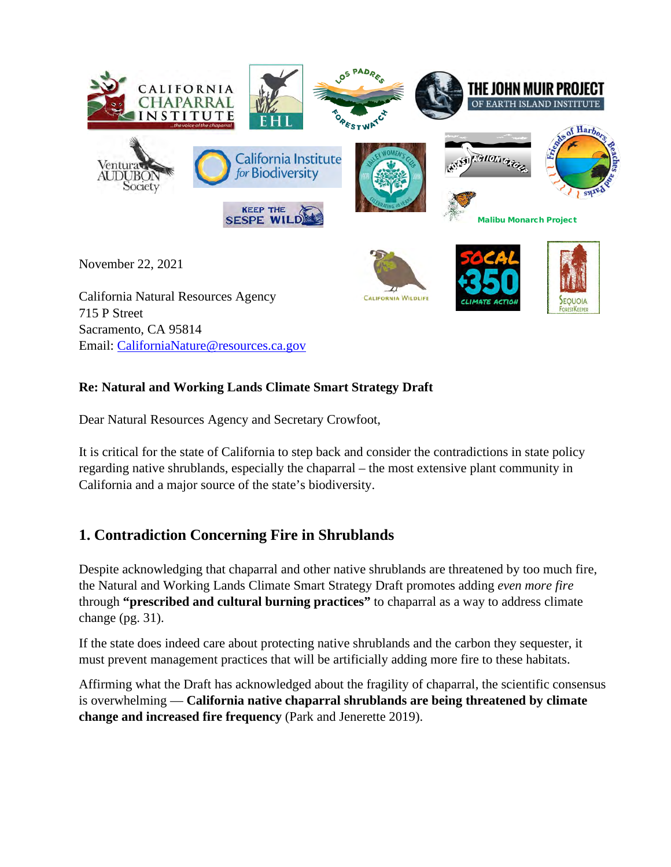

#### **Re: Natural and Working Lands Climate Smart Strategy Draft**

Dear Natural Resources Agency and Secretary Crowfoot,

It is critical for the state of California to step back and consider the contradictions in state policy regarding native shrublands, especially the chaparral – the most extensive plant community in California and a major source of the state's biodiversity.

## **1. Contradiction Concerning Fire in Shrublands**

Despite acknowledging that chaparral and other native shrublands are threatened by too much fire, the Natural and Working Lands Climate Smart Strategy Draft promotes adding *even more fire* through **"prescribed and cultural burning practices"** to chaparral as a way to address climate change (pg. 31).

If the state does indeed care about protecting native shrublands and the carbon they sequester, it must prevent management practices that will be artificially adding more fire to these habitats.

Affirming what the Draft has acknowledged about the fragility of chaparral, the scientific consensus is overwhelming — **California native chaparral shrublands are being threatened by climate change and increased fire frequency** (Park and Jenerette 2019).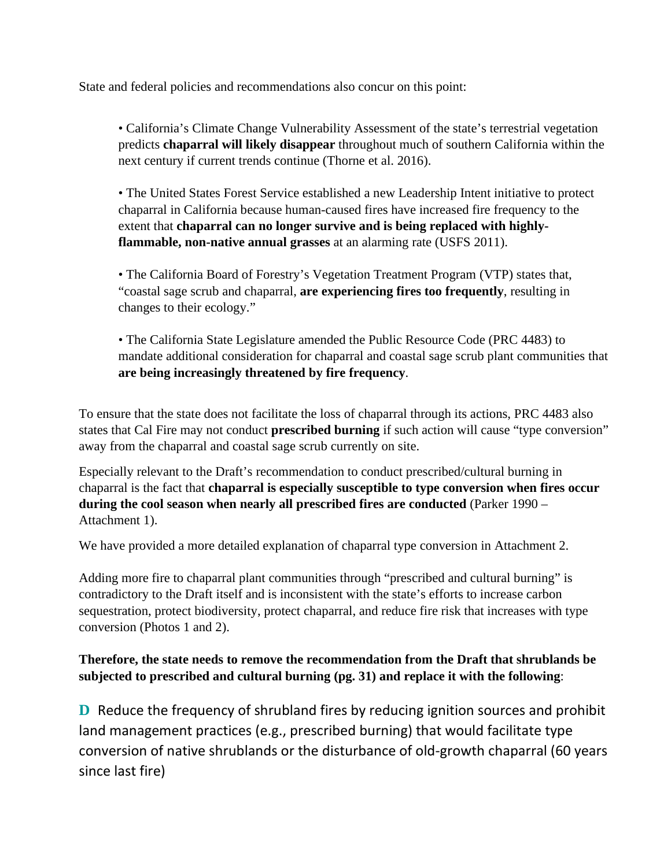State and federal policies and recommendations also concur on this point:

• California's Climate Change Vulnerability Assessment of the state's terrestrial vegetation predicts **chaparral will likely disappear** throughout much of southern California within the next century if current trends continue (Thorne et al. 2016).

• The United States Forest Service established a new Leadership Intent initiative to protect chaparral in California because human-caused fires have increased fire frequency to the extent that **chaparral can no longer survive and is being replaced with highlyflammable, non-native annual grasses** at an alarming rate (USFS 2011).

• The California Board of Forestry's Vegetation Treatment Program (VTP) states that, "coastal sage scrub and chaparral, **are experiencing fires too frequently**, resulting in changes to their ecology."

• The California State Legislature amended the Public Resource Code (PRC 4483) to mandate additional consideration for chaparral and coastal sage scrub plant communities that **are being increasingly threatened by fire frequency**.

To ensure that the state does not facilitate the loss of chaparral through its actions, PRC 4483 also states that Cal Fire may not conduct **prescribed burning** if such action will cause "type conversion" away from the chaparral and coastal sage scrub currently on site.

Especially relevant to the Draft's recommendation to conduct prescribed/cultural burning in chaparral is the fact that **chaparral is especially susceptible to type conversion when fires occur during the cool season when nearly all prescribed fires are conducted** (Parker 1990 – Attachment 1).

We have provided a more detailed explanation of chaparral type conversion in Attachment 2.

Adding more fire to chaparral plant communities through "prescribed and cultural burning" is contradictory to the Draft itself and is inconsistent with the state's efforts to increase carbon sequestration, protect biodiversity, protect chaparral, and reduce fire risk that increases with type conversion (Photos 1 and 2).

### **Therefore, the state needs to remove the recommendation from the Draft that shrublands be subjected to prescribed and cultural burning (pg. 31) and replace it with the following**:

**D** Reduce the frequency of shrubland fires by reducing ignition sources and prohibit land management practices (e.g., prescribed burning) that would facilitate type conversion of native shrublands or the disturbance of old-growth chaparral (60 years since last fire)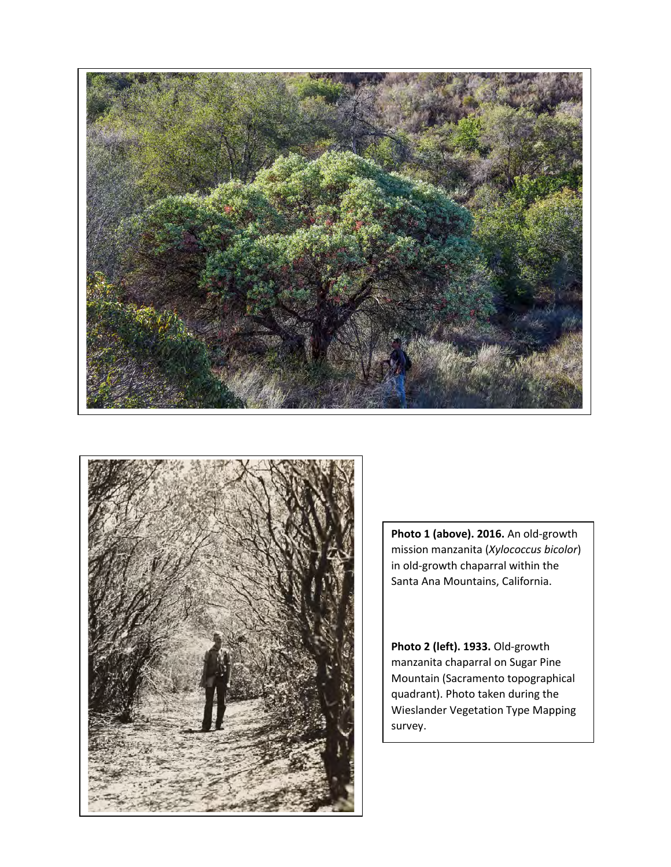



**Photo 1 (above). 2016.** An old-growth mission manzanita (*Xylococcus bicolor*) in old-growth chaparral within the Santa Ana Mountains, California.

**Photo 2 (left). 1933.** Old-growth manzanita chaparral on Sugar Pine Mountain (Sacramento topographical quadrant). Photo taken during the Wieslander Vegetation Type Mapping survey.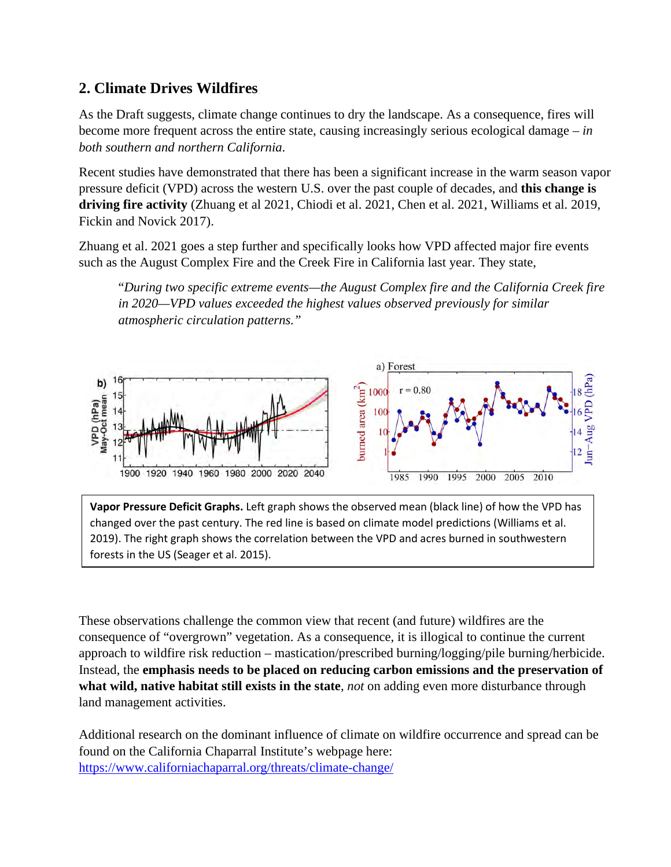## **2. Climate Drives Wildfires**

As the Draft suggests, climate change continues to dry the landscape. As a consequence, fires will become more frequent across the entire state, causing increasingly serious ecological damage – *in both southern and northern California*.

Recent studies have demonstrated that there has been a significant increase in the warm season vapor pressure deficit (VPD) across the western U.S. over the past couple of decades, and **this change is driving fire activity** (Zhuang et al 2021, Chiodi et al. 2021, Chen et al. 2021, Williams et al. 2019, Fickin and Novick 2017).

Zhuang et al. 2021 goes a step further and specifically looks how VPD affected major fire events such as the August Complex Fire and the Creek Fire in California last year. They state,

"*During two specific extreme events—the August Complex fire and the California Creek fire in 2020—VPD values exceeded the highest values observed previously for similar atmospheric circulation patterns."* 



**Vapor Pressure Deficit Graphs.** Left graph shows the observed mean (black line) of how the VPD has changed over the past century. The red line is based on climate model predictions (Williams et al. 2019). The right graph shows the correlation between the VPD and acres burned in southwestern forests in the US (Seager et al. 2015).

These observations challenge the common view that recent (and future) wildfires are the consequence of "overgrown" vegetation. As a consequence, it is illogical to continue the current approach to wildfire risk reduction – mastication/prescribed burning/logging/pile burning/herbicide. Instead, the **emphasis needs to be placed on reducing carbon emissions and the preservation of what wild, native habitat still exists in the state**, *not* on adding even more disturbance through land management activities.

Additional research on the dominant influence of climate on wildfire occurrence and spread can be found on the California Chaparral Institute's webpage here: <https://www.californiachaparral.org/threats/climate-change/>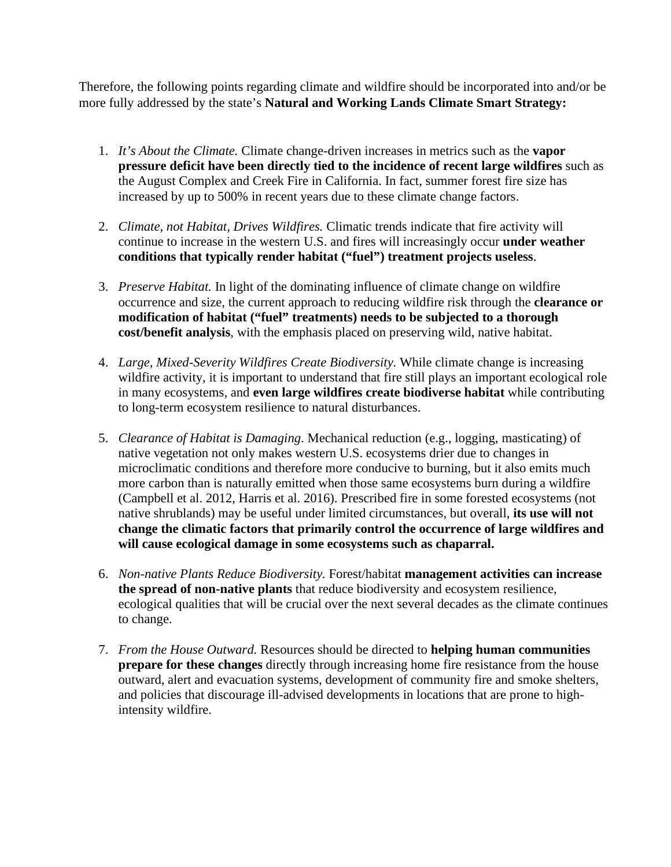Therefore, the following points regarding climate and wildfire should be incorporated into and/or be more fully addressed by the state's **Natural and Working Lands Climate Smart Strategy:**

- 1. *It's About the Climate.* Climate change-driven increases in metrics such as the **vapor pressure deficit have been directly tied to the incidence of recent large wildfires** such as the August Complex and Creek Fire in California. In fact, summer forest fire size has increased by up to 500% in recent years due to these climate change factors.
- 2. *Climate, not Habitat, Drives Wildfires.* Climatic trends indicate that fire activity will continue to increase in the western U.S. and fires will increasingly occur **under weather conditions that typically render habitat ("fuel") treatment projects useless**.
- 3. *Preserve Habitat.* In light of the dominating influence of climate change on wildfire occurrence and size, the current approach to reducing wildfire risk through the **clearance or modification of habitat ("fuel" treatments) needs to be subjected to a thorough cost/benefit analysis**, with the emphasis placed on preserving wild, native habitat.
- 4. *Large, Mixed-Severity Wildfires Create Biodiversity.* While climate change is increasing wildfire activity, it is important to understand that fire still plays an important ecological role in many ecosystems, and **even large wildfires create biodiverse habitat** while contributing to long-term ecosystem resilience to natural disturbances.
- 5. *Clearance of Habitat is Damaging*. Mechanical reduction (e.g., logging, masticating) of native vegetation not only makes western U.S. ecosystems drier due to changes in microclimatic conditions and therefore more conducive to burning, but it also emits much more carbon than is naturally emitted when those same ecosystems burn during a wildfire (Campbell et al. 2012, Harris et al. 2016). Prescribed fire in some forested ecosystems (not native shrublands) may be useful under limited circumstances, but overall, **its use will not change the climatic factors that primarily control the occurrence of large wildfires and will cause ecological damage in some ecosystems such as chaparral.**
- 6. *Non-native Plants Reduce Biodiversity.* Forest/habitat **management activities can increase the spread of non-native plants** that reduce biodiversity and ecosystem resilience, ecological qualities that will be crucial over the next several decades as the climate continues to change.
- 7. *From the House Outward.* Resources should be directed to **helping human communities prepare for these changes** directly through increasing home fire resistance from the house outward, alert and evacuation systems, development of community fire and smoke shelters, and policies that discourage ill-advised developments in locations that are prone to highintensity wildfire.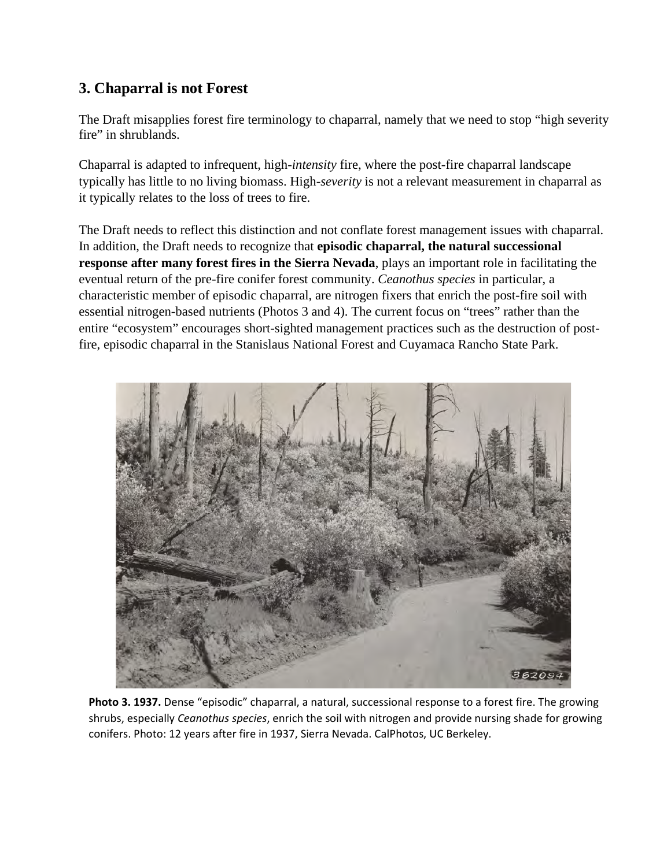## **3. Chaparral is not Forest**

The Draft misapplies forest fire terminology to chaparral, namely that we need to stop "high severity fire" in shrublands.

Chaparral is adapted to infrequent, high-*intensity* fire, where the post-fire chaparral landscape typically has little to no living biomass. High-*severity* is not a relevant measurement in chaparral as it typically relates to the loss of trees to fire.

The Draft needs to reflect this distinction and not conflate forest management issues with chaparral. In addition, the Draft needs to recognize that **episodic chaparral, the natural successional response after many forest fires in the Sierra Nevada**, plays an important role in facilitating the eventual return of the pre-fire conifer forest community. *Ceanothus species* in particular, a characteristic member of episodic chaparral, are nitrogen fixers that enrich the post-fire soil with essential nitrogen-based nutrients (Photos 3 and 4). The current focus on "trees" rather than the entire "ecosystem" encourages short-sighted management practices such as the destruction of postfire, episodic chaparral in the Stanislaus National Forest and Cuyamaca Rancho State Park.



**Photo 3. 1937.** Dense "episodic" chaparral, a natural, successional response to a forest fire. The growing shrubs, especially *Ceanothus species*, enrich the soil with nitrogen and provide nursing shade for growing conifers. Photo: 12 years after fire in 1937, Sierra Nevada. CalPhotos, UC Berkeley.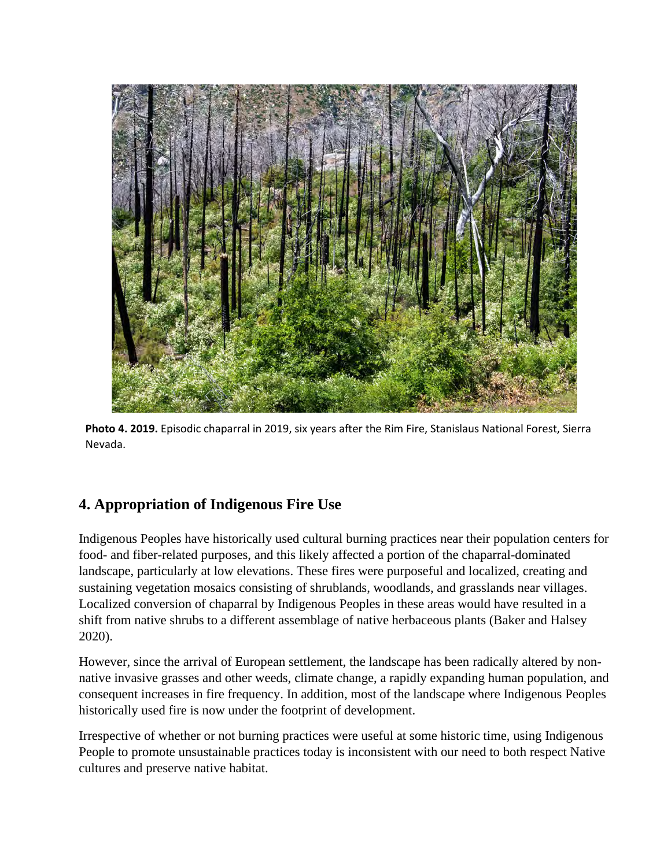

**Photo 4. 2019.** Episodic chaparral in 2019, six years after the Rim Fire, Stanislaus National Forest, Sierra Nevada.

# **4. Appropriation of Indigenous Fire Use**

Indigenous Peoples have historically used cultural burning practices near their population centers for food- and fiber-related purposes, and this likely affected a portion of the chaparral-dominated landscape, particularly at low elevations. These fires were purposeful and localized, creating and sustaining vegetation mosaics consisting of shrublands, woodlands, and grasslands near villages. Localized conversion of chaparral by Indigenous Peoples in these areas would have resulted in a shift from native shrubs to a different assemblage of native herbaceous plants (Baker and Halsey 2020).

However, since the arrival of European settlement, the landscape has been radically altered by nonnative invasive grasses and other weeds, climate change, a rapidly expanding human population, and consequent increases in fire frequency. In addition, most of the landscape where Indigenous Peoples historically used fire is now under the footprint of development.

Irrespective of whether or not burning practices were useful at some historic time, using Indigenous People to promote unsustainable practices today is inconsistent with our need to both respect Native cultures and preserve native habitat.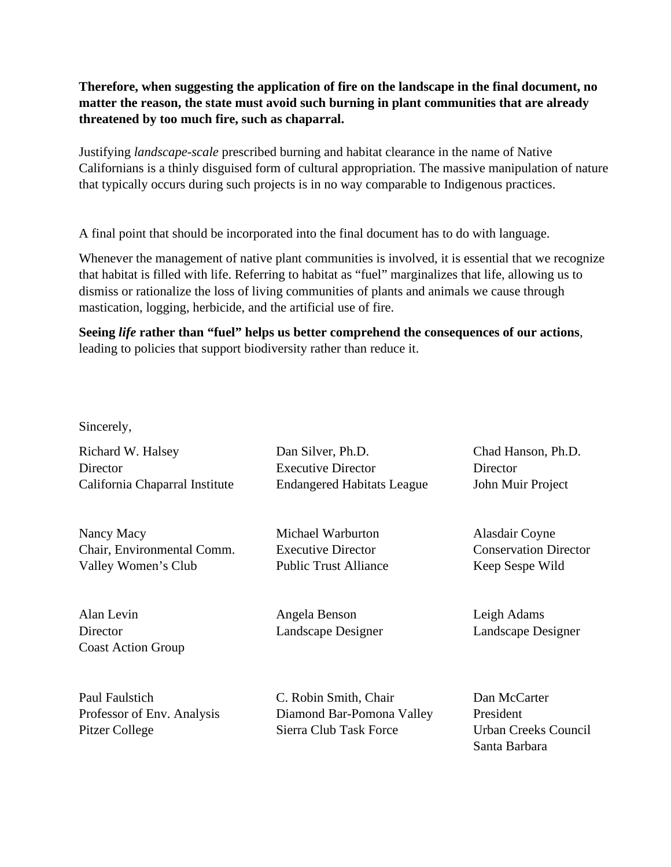#### **Therefore, when suggesting the application of fire on the landscape in the final document, no matter the reason, the state must avoid such burning in plant communities that are already threatened by too much fire, such as chaparral.**

Justifying *landscape-scale* prescribed burning and habitat clearance in the name of Native Californians is a thinly disguised form of cultural appropriation. The massive manipulation of nature that typically occurs during such projects is in no way comparable to Indigenous practices.

A final point that should be incorporated into the final document has to do with language.

Whenever the management of native plant communities is involved, it is essential that we recognize that habitat is filled with life. Referring to habitat as "fuel" marginalizes that life, allowing us to dismiss or rationalize the loss of living communities of plants and animals we cause through mastication, logging, herbicide, and the artificial use of fire.

**Seeing** *life* **rather than "fuel" helps us better comprehend the consequences of our actions**, leading to policies that support biodiversity rather than reduce it.

Sincerely,

Richard W. Halsey Dan Silver, Ph.D. Chad Hanson, Ph.D.

Nancy Macy Michael Warburton Alasdair Coyne Chair, Environmental Comm. Executive Director Conservation Director Valley Women's Club Public Trust Alliance Keep Sespe Wild

Alan Levin Angela Benson Leigh Adams Director Landscape Designer Landscape Designer Coast Action Group

Director Executive Director Director California Chaparral Institute Endangered Habitats League John Muir Project

Paul Faulstich C. Robin Smith, Chair Dan McCarter Professor of Env. Analysis Diamond Bar-Pomona Valley President Pitzer College Sierra Club Task Force Urban Creeks Council

Santa Barbara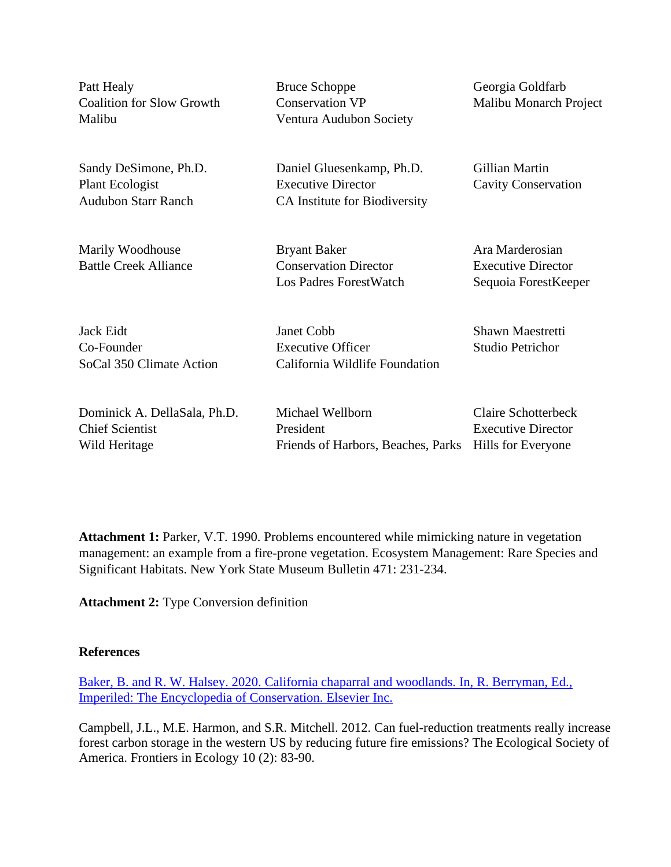Patt Healy **Bruce Schoppe** Georgia Goldfarb Coalition for Slow Growth Conservation VP Malibu Monarch Project Malibu Ventura Audubon Society

Sandy DeSimone, Ph.D. Daniel Gluesenkamp, Ph.D. Gillian Martin Plant Ecologist Executive Director Cavity Conservation Audubon Starr Ranch CA Institute for Biodiversity

Marily Woodhouse **Bryant Baker** Ara Marderosian Battle Creek Alliance Conservation Director Executive Director Los Padres ForestWatch Sequoia ForestKeeper

Jack Eidt Janet Cobb Shawn Maestretti Co-Founder Executive Officer Studio Petrichor SoCal 350 Climate Action California Wildlife Foundation

| Dominick A. DellaSala, Ph.D. | Michael Wellborn                                      | Claire Schotterbeck       |
|------------------------------|-------------------------------------------------------|---------------------------|
| <b>Chief Scientist</b>       | President                                             | <b>Executive Director</b> |
| Wild Heritage                | Friends of Harbors, Beaches, Parks Hills for Everyone |                           |

**Attachment 1:** Parker, V.T. 1990. Problems encountered while mimicking nature in vegetation management: an example from a fire-prone vegetation. Ecosystem Management: Rare Species and Significant Habitats. New York State Museum Bulletin 471: 231-234.

**Attachment 2:** Type Conversion definition

#### **References**

[Baker, B. and R. W. Halsey. 2020. California chaparral and woodlands. In, R. Berryman, Ed.,](https://rest.edit.site/filestorage-api-service/637828415b35050c3613ac3844adb039/baker-and-halsey-chaparral-conservation-2020(2).pdf?dl=1)  [Imperiled: The Encyclopedia of Conservation. Elsevier Inc.](https://rest.edit.site/filestorage-api-service/637828415b35050c3613ac3844adb039/baker-and-halsey-chaparral-conservation-2020(2).pdf?dl=1)

Campbell, J.L., M.E. Harmon, and S.R. Mitchell. 2012. Can fuel-reduction treatments really increase forest carbon storage in the western US by reducing future fire emissions? The Ecological Society of America. Frontiers in Ecology 10 (2): 83-90.